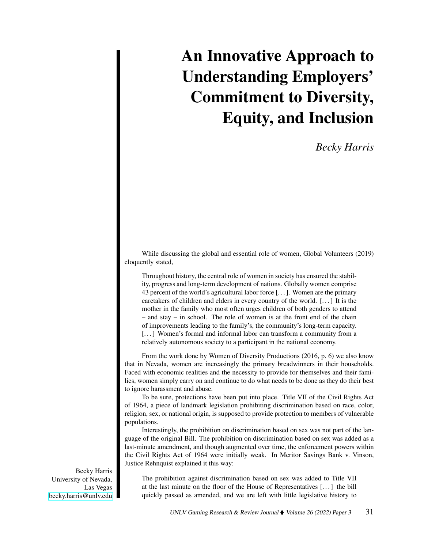# An Innovative Approach to Understanding Employers' Commitment to Diversity, Equity, and Inclusion

## *Becky Harris*

While discussing the global and essential role of women, Global Volunteers (2019) eloquently stated,

Throughout history, the central role of women in society has ensured the stability, progress and long-term development of nations. Globally women comprise 43 percent of the world's agricultural labor force [. . . ]. Women are the primary caretakers of children and elders in every country of the world. [. . . ] It is the mother in the family who most often urges children of both genders to attend – and stay – in school. The role of women is at the front end of the chain of improvements leading to the family's, the community's long-term capacity. [...] Women's formal and informal labor can transform a community from a relatively autonomous society to a participant in the national economy.

From the work done by Women of Diversity Productions (2016, p. 6) we also know that in Nevada, women are increasingly the primary breadwinners in their households. Faced with economic realities and the necessity to provide for themselves and their families, women simply carry on and continue to do what needs to be done as they do their best to ignore harassment and abuse.

To be sure, protections have been put into place. Title VII of the Civil Rights Act of 1964, a piece of landmark legislation prohibiting discrimination based on race, color, religion, sex, or national origin, is supposed to provide protection to members of vulnerable populations.

Interestingly, the prohibition on discrimination based on sex was not part of the language of the original Bill. The prohibition on discrimination based on sex was added as a last-minute amendment, and though augmented over time, the enforcement powers within the Civil Rights Act of 1964 were initially weak. In Meritor Savings Bank v. Vinson, Justice Rehnquist explained it this way:

Becky Harris University of Nevada, Las Vegas [becky.harris@unlv.edu](mailto:becky.harris@unlv.edu)

The prohibition against discrimination based on sex was added to Title VII at the last minute on the floor of the House of Representatives [. . . ] the bill quickly passed as amended, and we are left with little legislative history to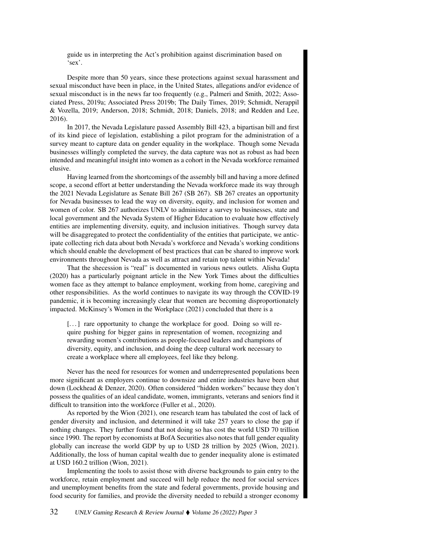guide us in interpreting the Act's prohibition against discrimination based on 'sex'.

Despite more than 50 years, since these protections against sexual harassment and sexual misconduct have been in place, in the United States, allegations and/or evidence of sexual misconduct is in the news far too frequently (e.g., Palmeri and Smith, 2022; Associated Press, 2019a; Associated Press 2019b; The Daily Times, 2019; Schmidt, Nerappil & Vozella, 2019; Anderson, 2018; Schmidt, 2018; Daniels, 2018; and Redden and Lee, 2016).

In 2017, the Nevada Legislature passed Assembly Bill 423, a bipartisan bill and first of its kind piece of legislation, establishing a pilot program for the administration of a survey meant to capture data on gender equality in the workplace. Though some Nevada businesses willingly completed the survey, the data capture was not as robust as had been intended and meaningful insight into women as a cohort in the Nevada workforce remained elusive.

Having learned from the shortcomings of the assembly bill and having a more defined scope, a second effort at better understanding the Nevada workforce made its way through the 2021 Nevada Legislature as Senate Bill 267 (SB 267). SB 267 creates an opportunity for Nevada businesses to lead the way on diversity, equity, and inclusion for women and women of color. SB 267 authorizes UNLV to administer a survey to businesses, state and local government and the Nevada System of Higher Education to evaluate how effectively entities are implementing diversity, equity, and inclusion initiatives. Though survey data will be disaggregated to protect the confidentiality of the entities that participate, we anticipate collecting rich data about both Nevada's workforce and Nevada's working conditions which should enable the development of best practices that can be shared to improve work environments throughout Nevada as well as attract and retain top talent within Nevada!

That the shecession is "real" is documented in various news outlets. Alisha Gupta (2020) has a particularly poignant article in the New York Times about the difficulties women face as they attempt to balance employment, working from home, caregiving and other responsibilities. As the world continues to navigate its way through the COVID-19 pandemic, it is becoming increasingly clear that women are becoming disproportionately impacted. McKinsey's Women in the Workplace (2021) concluded that there is a

[...] rare opportunity to change the workplace for good. Doing so will require pushing for bigger gains in representation of women, recognizing and rewarding women's contributions as people-focused leaders and champions of diversity, equity, and inclusion, and doing the deep cultural work necessary to create a workplace where all employees, feel like they belong.

Never has the need for resources for women and underrepresented populations been more significant as employers continue to downsize and entire industries have been shut down (Lockhead & Denzer, 2020). Often considered "hidden workers" because they don't possess the qualities of an ideal candidate, women, immigrants, veterans and seniors find it difficult to transition into the workforce (Fuller et al., 2020).

As reported by the Wion (2021), one research team has tabulated the cost of lack of gender diversity and inclusion, and determined it will take 257 years to close the gap if nothing changes. They further found that not doing so has cost the world USD 70 trillion since 1990. The report by economists at BofA Securities also notes that full gender equality globally can increase the world GDP by up to USD 28 trillion by 2025 (Wion, 2021). Additionally, the loss of human capital wealth due to gender inequality alone is estimated at USD 160.2 trillion (Wion, 2021).

Implementing the tools to assist those with diverse backgrounds to gain entry to the workforce, retain employment and succeed will help reduce the need for social services and unemployment benefits from the state and federal governments, provide housing and food security for families, and provide the diversity needed to rebuild a stronger economy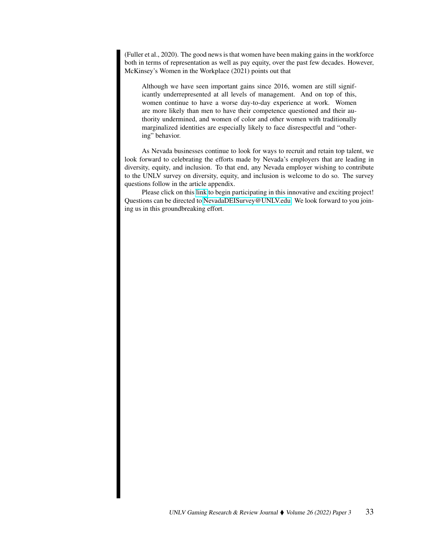(Fuller et al., 2020). The good news is that women have been making gains in the workforce both in terms of representation as well as pay equity, over the past few decades. However, McKinsey's Women in the Workplace (2021) points out that

Although we have seen important gains since 2016, women are still significantly underrepresented at all levels of management. And on top of this, women continue to have a worse day-to-day experience at work. Women are more likely than men to have their competence questioned and their authority undermined, and women of color and other women with traditionally marginalized identities are especially likely to face disrespectful and "othering" behavior.

As Nevada businesses continue to look for ways to recruit and retain top talent, we look forward to celebrating the efforts made by Nevada's employers that are leading in diversity, equity, and inclusion. To that end, any Nevada employer wishing to contribute to the UNLV survey on diversity, equity, and inclusion is welcome to do so. The survey questions follow in the article appendix.

Please click on this [link](https://unlv.co1.qualtrics.com/jfe/preview/SV_cRMum6e4I3M8QVo?Q_CHL=preview&Q_SurveyVersionID=current) to begin participating in this innovative and exciting project! Questions can be directed to [NevadaDEISurvey@UNLV.edu.](mailto: NevadaDEISurvey@UNLV.edu) We look forward to you joining us in this groundbreaking effort.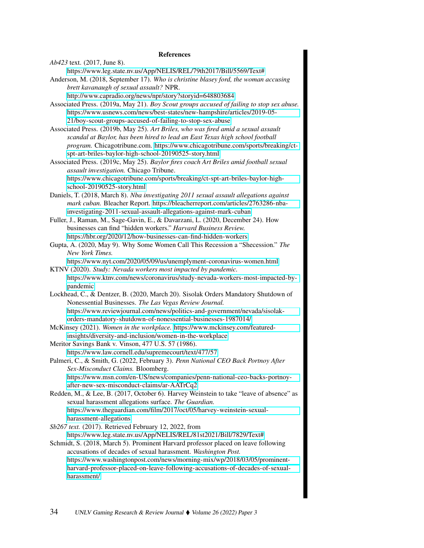#### References

*Ab423* text. (2017, June 8). <https://www.leg.state.nv.us/App/NELIS/REL/79th2017/Bill/5569/Text#> Anderson, M. (2018, September 17). *Who is christine blasey ford, the woman accusing brett kavanaugh of sexual assault?* NPR. <http://www.capradio.org/news/npr/story?storyid=648803684>

Associated Press. (2019a, May 21). *Boy Scout groups accused of failing to stop sex abuse.* [https://www.usnews.com/news/best-states/new-hampshire/articles/2019-05-](https://www.usnews.com/news/best-states/new-hampshire/articles/2019-05-21/boy-scout-groups-accused-of-failing-to-stop-sex-abuse) [21/boy-scout-groups-accused-of-failing-to-stop-sex-abuse](https://www.usnews.com/news/best-states/new-hampshire/articles/2019-05-21/boy-scout-groups-accused-of-failing-to-stop-sex-abuse)

Associated Press. (2019b, May 25). *Art Briles, who was fired amid a sexual assault scandal at Baylor, has been hired to lead an East Texas high school football program.* Chicagotribune.com. [https://www.chicagotribune.com/sports/breaking/ct](https://www.chicagotribune.com/sports/breaking/ct-spt-art-briles-baylor-high-school-20190525-story.html)[spt-art-briles-baylor-high-school-20190525-story.html](https://www.chicagotribune.com/sports/breaking/ct-spt-art-briles-baylor-high-school-20190525-story.html)

Associated Press. (2019c, May 25). *Baylor fires coach Art Briles amid football sexual assault investigation.* Chicago Tribune. [https://www.chicagotribune.com/sports/breaking/ct-spt-art-briles-baylor-high](https://www.chicagotribune.com/sports/breaking/ct-spt-art-briles-baylor-high-school-20190525-story.html)[school-20190525-story.html](https://www.chicagotribune.com/sports/breaking/ct-spt-art-briles-baylor-high-school-20190525-story.html)

Daniels, T. (2018, March 8). *Nba investigating 2011 sexual assault allegations against mark cuban.* Bleacher Report. [https://bleacherreport.com/articles/2763286-nba](https://bleacherreport.com/articles/2763286-nba-investigating-2011-sexual-assault-allegations-against-mark-cuban)[investigating-2011-sexual-assault-allegations-against-mark-cuban](https://bleacherreport.com/articles/2763286-nba-investigating-2011-sexual-assault-allegations-against-mark-cuban)

Fuller, J., Raman, M., Sage-Gavin, E., & Davarzani, L. (2020, December 24). How businesses can find "hidden workers." *Harvard Business Review.* <https://hbr.org/2020/12/how-businesses-can-find-hidden-workers>

Gupta, A. (2020, May 9). Why Some Women Call This Recession a "Shecession." *The New York Times.*

<https://www.nyt.com/2020/05/09/us/unemplyment-coronavirus-women.html>

KTNV (2020). *Study: Nevada workers most impacted by pandemic.* [https://www.ktnv.com/news/coronavirus/study-nevada-workers-most-impacted-by](https://www.ktnv.com/news/coronavirus/study-nevada-workers-most-impacted-by-pandemic)[pandemic](https://www.ktnv.com/news/coronavirus/study-nevada-workers-most-impacted-by-pandemic)

Lockhead, C., & Dentzer, B. (2020, March 20). Sisolak Orders Mandatory Shutdown of Nonessential Businesses. *The Las Vegas Review Journal.* [https://www.reviewjournal.com/news/politics-and-government/nevada/sisolak](https://www.reviewjournal.com/news/politics-and-government/nevada/sisolak-orders-mandatory-shutdown-of-nonessential-businesses-1987014/)[orders-mandatory-shutdown-of-nonessential-businesses-1987014/](https://www.reviewjournal.com/news/politics-and-government/nevada/sisolak-orders-mandatory-shutdown-of-nonessential-businesses-1987014/)

McKinsey (2021). *Women in the workplace.* [https://www.mckinsey.com/featured](https://www.mckinsey.com/featured-insights/diversity-and-inclusion/women-in-the-workplace)[insights/diversity-and-inclusion/women-in-the-workplace](https://www.mckinsey.com/featured-insights/diversity-and-inclusion/women-in-the-workplace)

Meritor Savings Bank v. Vinson, 477 U.S. 57 (1986). <https://www.law.cornell.edu/supremecourt/text/477/57>

Palmeri, C., & Smith, G. (2022, February 3). *Penn National CEO Back Portnoy After Sex-Misconduct Claims.* Bloomberg. [https://www.msn.com/en-US/news/companies/penn-national-ceo-backs-portnoy](https://www.msn.com/en-US/news/companies/penn-national-ceo-backs-portnoy-after-new-sex-misconduct-claims/ar-AATrCq2)[after-new-sex-misconduct-claims/ar-AATrCq2](https://www.msn.com/en-US/news/companies/penn-national-ceo-backs-portnoy-after-new-sex-misconduct-claims/ar-AATrCq2)

Redden, M., & Lee, B. (2017, October 6). Harvey Weinstein to take "leave of absence" as sexual harassment allegations surface. *The Guardian.* [https://www.theguardian.com/film/2017/oct/05/harvey-weinstein-sexual](https://www.theguardian.com/film/2017/oct/05/harvey-weinstein-sexual-harassment-allegations)[harassment-allegations](https://www.theguardian.com/film/2017/oct/05/harvey-weinstein-sexual-harassment-allegations)

*Sb267 text.* (2017). Retrieved February 12, 2022, from <https://www.leg.state.nv.us/App/NELIS/REL/81st2021/Bill/7829/Text#>

Schmidt, S. (2018, March 5). Prominent Harvard professor placed on leave following accusations of decades of sexual harassment. *Washington Post.* [https://www.washingtonpost.com/news/morning-mix/wp/2018/03/05/prominent](https://www.washingtonpost.com/news/morning-mix/wp/2018/03/05/prominent-harvard-professor-placed-on-leave-following-accusations-of-decades-of-sexual-harassment/)[harvard-professor-placed-on-leave-following-accusations-of-decades-of-sexual](https://www.washingtonpost.com/news/morning-mix/wp/2018/03/05/prominent-harvard-professor-placed-on-leave-following-accusations-of-decades-of-sexual-harassment/)[harassment/](https://www.washingtonpost.com/news/morning-mix/wp/2018/03/05/prominent-harvard-professor-placed-on-leave-following-accusations-of-decades-of-sexual-harassment/)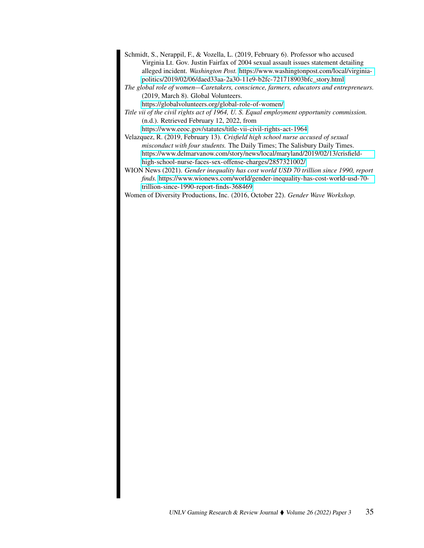- Schmidt, S., Nerappil, F., & Vozella, L. (2019, February 6). Professor who accused Virginia Lt. Gov. Justin Fairfax of 2004 sexual assault issues statement detailing alleged incident. *Washington Post.* [https://www.washingtonpost.com/local/virginia](https://www.washingtonpost.com/local/virginia-politics/2019/02/06/daed33aa-2a30-11e9-b2fc-721718903bfc_story.html)[politics/2019/02/06/daed33aa-2a30-11e9-b2fc-721718903bfc\\_story.html](https://www.washingtonpost.com/local/virginia-politics/2019/02/06/daed33aa-2a30-11e9-b2fc-721718903bfc_story.html)
- *The global role of women—Caretakers, conscience, farmers, educators and entrepreneurs.* (2019, March 8). Global Volunteers.

<https://globalvolunteers.org/global-role-of-women/>

- *Title vii of the civil rights act of 1964, U. S. Equal employment opportunity commission.* (n.d.). Retrieved February 12, 2022, from <https://www.eeoc.gov/statutes/title-vii-civil-rights-act-1964>
- Velazquez, R. (2019, February 13). *Crisfield high school nurse accused of sexual misconduct with four students.* The Daily Times; The Salisbury Daily Times. [https://www.delmarvanow.com/story/news/local/maryland/2019/02/13/crisfield](https://www.delmarvanow.com/story/news/local/maryland/2019/02/13/crisfield-high-school-nurse-faces-sex-offense-charges/2857321002/)[high-school-nurse-faces-sex-offense-charges/2857321002/](https://www.delmarvanow.com/story/news/local/maryland/2019/02/13/crisfield-high-school-nurse-faces-sex-offense-charges/2857321002/)
- WION News (2021). *Gender inequality has cost world USD 70 trillion since 1990, report finds.* [https://www.wionews.com/world/gender-inequality-has-cost-world-usd-70](https://www.wionews.com/world/gender-inequality-has-cost-world-usd-70-trillion-since-1990-report-finds-368469) [trillion-since-1990-report-finds-368469](https://www.wionews.com/world/gender-inequality-has-cost-world-usd-70-trillion-since-1990-report-finds-368469)
- Women of Diversity Productions, Inc. (2016, October 22). *Gender Wave Workshop.*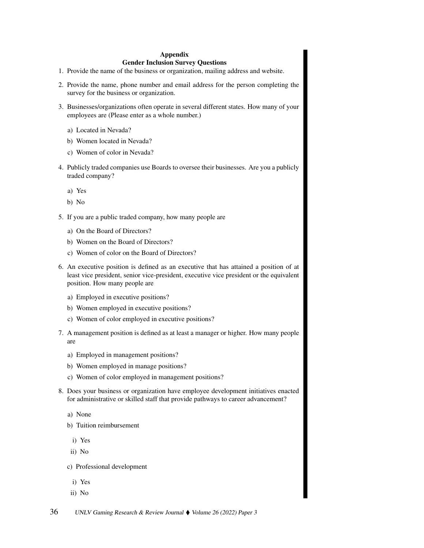#### Appendix

### Gender Inclusion Survey Questions

- 1. Provide the name of the business or organization, mailing address and website.
- 2. Provide the name, phone number and email address for the person completing the survey for the business or organization.
- 3. Businesses/organizations often operate in several different states. How many of your employees are (Please enter as a whole number.)
	- a) Located in Nevada?
	- b) Women located in Nevada?
	- c) Women of color in Nevada?
- 4. Publicly traded companies use Boards to oversee their businesses. Are you a publicly traded company?
	- a) Yes
	- b) No
- 5. If you are a public traded company, how many people are
	- a) On the Board of Directors?
	- b) Women on the Board of Directors?
	- c) Women of color on the Board of Directors?
- 6. An executive position is defined as an executive that has attained a position of at least vice president, senior vice-president, executive vice president or the equivalent position. How many people are
	- a) Employed in executive positions?
	- b) Women employed in executive positions?
	- c) Women of color employed in executive positions?
- 7. A management position is defined as at least a manager or higher. How many people are
	- a) Employed in management positions?
	- b) Women employed in manage positions?
	- c) Women of color employed in management positions?
- 8. Does your business or organization have employee development initiatives enacted for administrative or skilled staff that provide pathways to career advancement?
	- a) None
	- b) Tuition reimbursement
		- i) Yes
	- ii) No
	- c) Professional development
		- i) Yes
	- ii) No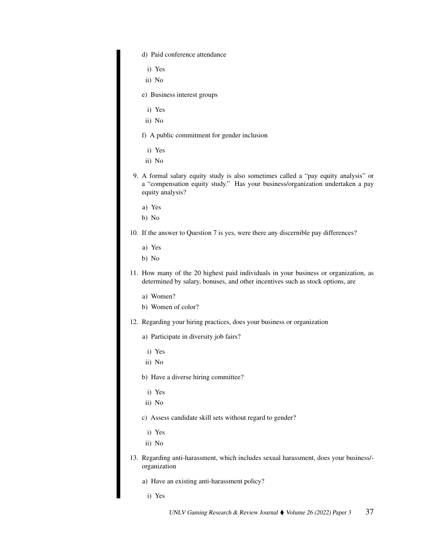d) Paid conference attendance

- i) Yes
- ii) No
- e) Business interest groups
	- i) Yes
- ii) No
- f) A public commitment for gender inclusion
	- i) Yes
- ii) No
- 9. A formal salary equity study is also sometimes called a "pay equity analysis" or a "compensation equity study." Has your business/organization undertaken a pay equity analysis?
	- a) Yes
	- b) No
- 10. If the answer to Question 7 is yes, were there any discernible pay differences?
	- a) Yes
	- b) No
- 11. How many of the 20 highest paid individuals in your business or organization, as determined by salary, bonuses, and other incentives such as stock options, are
	- a) Women?
	- b) Women of color?
- 12. Regarding your hiring practices, does your business or organization
	- a) Participate in diversity job fairs?
	- i) Yes
	- ii) No
	- b) Have a diverse hiring committee?
		- i) Yes
	- ii) No
	- c) Assess candidate skill sets without regard to gender?
		- i) Yes
	- ii) No
- 13. Regarding anti-harassment, which includes sexual harassment, does your business/ organization
	- a) Have an existing anti-harassment policy?
		- i) Yes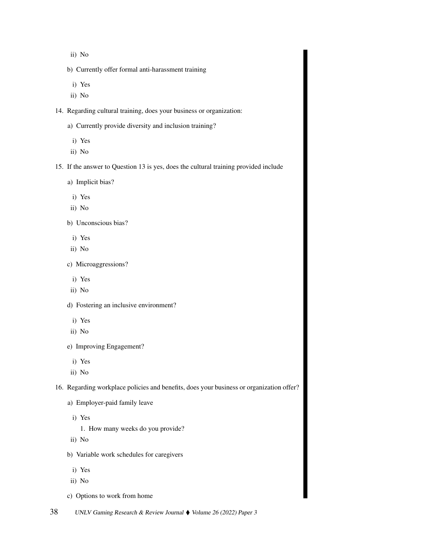- ii) No
- b) Currently offer formal anti-harassment training
	- i) Yes
- ii) No
- 14. Regarding cultural training, does your business or organization:
	- a) Currently provide diversity and inclusion training?
	- i) Yes
	- ii) No
- 15. If the answer to Question 13 is yes, does the cultural training provided include
	- a) Implicit bias?
		- i) Yes
	- ii) No
	- b) Unconscious bias?
		- i) Yes
	- ii) No
	- c) Microaggressions?
		- i) Yes
	- ii) No
	- d) Fostering an inclusive environment?
		- i) Yes
	- ii) No
	- e) Improving Engagement?
		- i) Yes
	- ii) No

16. Regarding workplace policies and benefits, does your business or organization offer?

- a) Employer-paid family leave
	- i) Yes
		- 1. How many weeks do you provide?
- ii) No
- b) Variable work schedules for caregivers
	- i) Yes
- ii) No
- c) Options to work from home